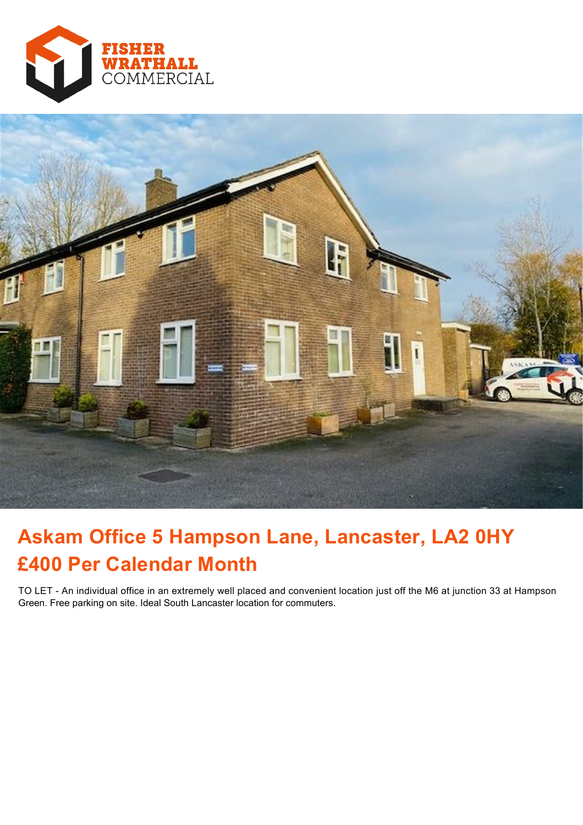



# **Askam Office 5 Hampson Lane, Lancaster, LA2 0HY £400 Per Calendar Month**

TO LET - An individual office in an extremely well placed and convenient location just off the M6 at junction 33 at Hampson Green. Free parking on site. Ideal South Lancaster location for commuters.